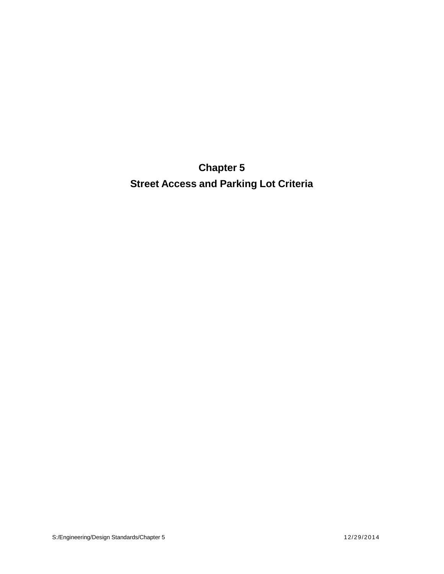**Chapter 5 Street Access and Parking Lot Criteria**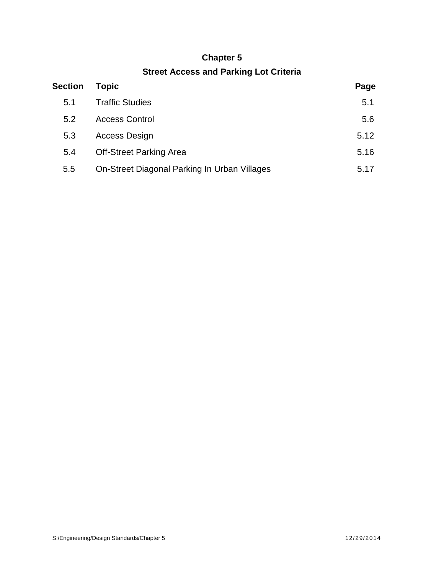## **Chapter 5**

# **Street Access and Parking Lot Criteria**

| <b>Section</b> | <b>Topic</b>                                 | Page |
|----------------|----------------------------------------------|------|
| 5.1            | <b>Traffic Studies</b>                       | 5.1  |
| 5.2            | <b>Access Control</b>                        | 5.6  |
| 5.3            | <b>Access Design</b>                         | 5.12 |
| 5.4            | <b>Off-Street Parking Area</b>               | 5.16 |
| 5.5            | On-Street Diagonal Parking In Urban Villages | 5.17 |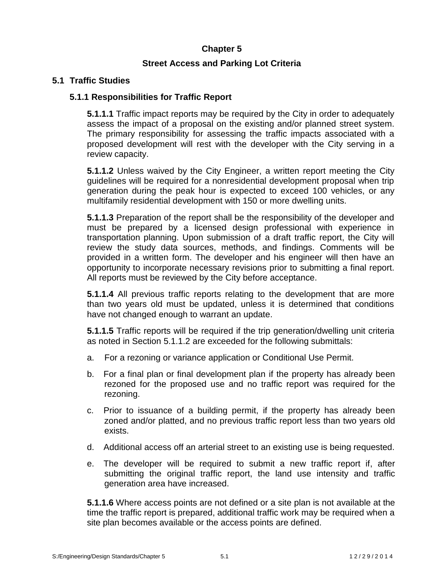## **Chapter 5**

### **Street Access and Parking Lot Criteria**

### **5.1 Traffic Studies**

## **5.1.1 Responsibilities for Traffic Report**

**5.1.1.1** Traffic impact reports may be required by the City in order to adequately assess the impact of a proposal on the existing and/or planned street system. The primary responsibility for assessing the traffic impacts associated with a proposed development will rest with the developer with the City serving in a review capacity.

**5.1.1.2** Unless waived by the City Engineer, a written report meeting the City guidelines will be required for a nonresidential development proposal when trip generation during the peak hour is expected to exceed 100 vehicles, or any multifamily residential development with 150 or more dwelling units.

**5.1.1.3** Preparation of the report shall be the responsibility of the developer and must be prepared by a licensed design professional with experience in transportation planning. Upon submission of a draft traffic report, the City will review the study data sources, methods, and findings. Comments will be provided in a written form. The developer and his engineer will then have an opportunity to incorporate necessary revisions prior to submitting a final report. All reports must be reviewed by the City before acceptance.

**5.1.1.4** All previous traffic reports relating to the development that are more than two years old must be updated, unless it is determined that conditions have not changed enough to warrant an update.

**5.1.1.5** Traffic reports will be required if the trip generation/dwelling unit criteria as noted in Section 5.1.1.2 are exceeded for the following submittals:

- a. For a rezoning or variance application or Conditional Use Permit.
- b. For a final plan or final development plan if the property has already been rezoned for the proposed use and no traffic report was required for the rezoning.
- c. Prior to issuance of a building permit, if the property has already been zoned and/or platted, and no previous traffic report less than two years old exists.
- d. Additional access off an arterial street to an existing use is being requested.
- e. The developer will be required to submit a new traffic report if, after submitting the original traffic report, the land use intensity and traffic generation area have increased.

**5.1.1.6** Where access points are not defined or a site plan is not available at the time the traffic report is prepared, additional traffic work may be required when a site plan becomes available or the access points are defined. Site plan becomes available or the access points are defined.<br>S:/Engineering/Design Standards/Chapter 5 5.1 1 2 / 2 9 / 2 0 1 4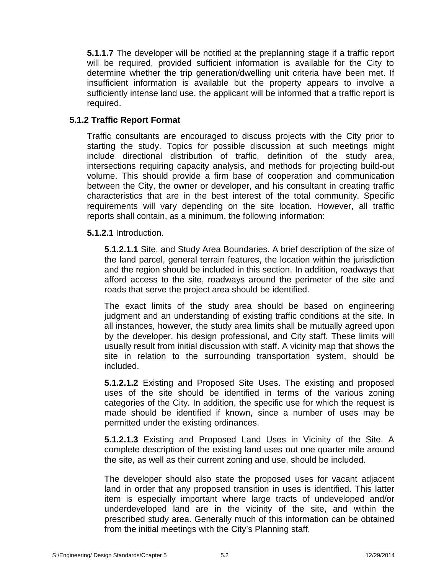**5.1.1.7** The developer will be notified at the preplanning stage if a traffic report will be required, provided sufficient information is available for the City to determine whether the trip generation/dwelling unit criteria have been met. If insufficient information is available but the property appears to involve a sufficiently intense land use, the applicant will be informed that a traffic report is required.

### **5.1.2 Traffic Report Format**

Traffic consultants are encouraged to discuss projects with the City prior to starting the study. Topics for possible discussion at such meetings might include directional distribution of traffic, definition of the study area, intersections requiring capacity analysis, and methods for projecting build-out volume. This should provide a firm base of cooperation and communication between the City, the owner or developer, and his consultant in creating traffic characteristics that are in the best interest of the total community. Specific requirements will vary depending on the site location. However, all traffic reports shall contain, as a minimum, the following information:

**5.1.2.1** Introduction.

**5.1.2.1.1** Site, and Study Area Boundaries. A brief description of the size of the land parcel, general terrain features, the location within the jurisdiction and the region should be included in this section. In addition, roadways that afford access to the site, roadways around the perimeter of the site and roads that serve the project area should be identified.

The exact limits of the study area should be based on engineering judgment and an understanding of existing traffic conditions at the site. In all instances, however, the study area limits shall be mutually agreed upon by the developer, his design professional, and City staff. These limits will usually result from initial discussion with staff. A vicinity map that shows the site in relation to the surrounding transportation system, should be included.

**5.1.2.1.2** Existing and Proposed Site Uses. The existing and proposed uses of the site should be identified in terms of the various zoning categories of the City. In addition, the specific use for which the request is made should be identified if known, since a number of uses may be permitted under the existing ordinances.

**5.1.2.1.3** Existing and Proposed Land Uses in Vicinity of the Site. A complete description of the existing land uses out one quarter mile around the site, as well as their current zoning and use, should be included.

The developer should also state the proposed uses for vacant adjacent land in order that any proposed transition in uses is identified. This latter item is especially important where large tracts of undeveloped and/or underdeveloped land are in the vicinity of the site, and within the prescribed study area. Generally much of this information can be obtained from the initial meetings with the City's Planning staff.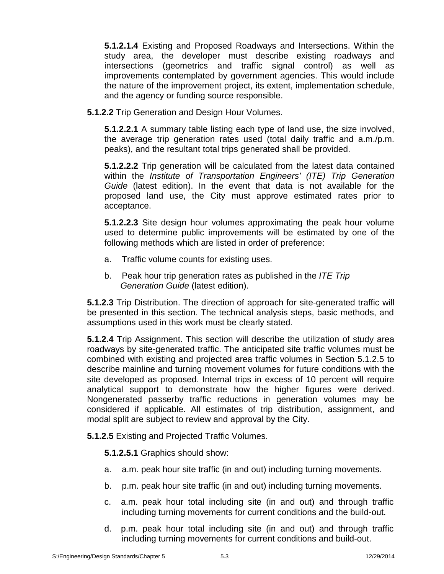**5.1.2.1.4** Existing and Proposed Roadways and Intersections. Within the study area, the developer must describe existing roadways and intersections (geometrics and traffic signal control) as well as improvements contemplated by government agencies. This would include the nature of the improvement project, its extent, implementation schedule, and the agency or funding source responsible.

**5.1.2.2** Trip Generation and Design Hour Volumes.

**5.1.2.2.1** A summary table listing each type of land use, the size involved, the average trip generation rates used (total daily traffic and a.m./p.m. peaks), and the resultant total trips generated shall be provided.

**5.1.2.2.2** Trip generation will be calculated from the latest data contained within the *Institute of Transportation Engineers' (ITE) Trip Generation Guide* (latest edition). In the event that data is not available for the proposed land use, the City must approve estimated rates prior to acceptance.

**5.1.2.2.3** Site design hour volumes approximating the peak hour volume used to determine public improvements will be estimated by one of the following methods which are listed in order of preference:

- a. Traffic volume counts for existing uses.
- b. Peak hour trip generation rates as published in the *ITE Trip Generation Guide* (latest edition).

**5.1.2.3** Trip Distribution. The direction of approach for site-generated traffic will be presented in this section. The technical analysis steps, basic methods, and assumptions used in this work must be clearly stated.

**5.1.2.4** Trip Assignment. This section will describe the utilization of study area roadways by site-generated traffic. The anticipated site traffic volumes must be combined with existing and projected area traffic volumes in Section 5.1.2.5 to describe mainline and turning movement volumes for future conditions with the site developed as proposed. Internal trips in excess of 10 percent will require analytical support to demonstrate how the higher figures were derived. Nongenerated passerby traffic reductions in generation volumes may be considered if applicable. All estimates of trip distribution, assignment, and modal split are subject to review and approval by the City.

**5.1.2.5** Existing and Projected Traffic Volumes.

**5.1.2.5.1** Graphics should show:

- a. a.m. peak hour site traffic (in and out) including turning movements.
- b. p.m. peak hour site traffic (in and out) including turning movements.
- c. a.m. peak hour total including site (in and out) and through traffic including turning movements for current conditions and the build-out.
- d. p.m. peak hour total including site (in and out) and through traffic including turning movements for current conditions and build-out.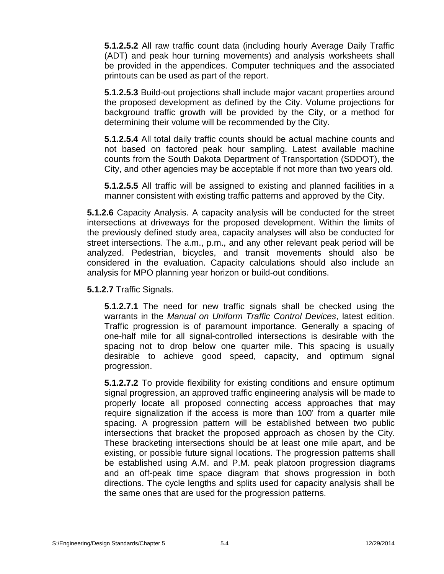**5.1.2.5.2** All raw traffic count data (including hourly Average Daily Traffic (ADT) and peak hour turning movements) and analysis worksheets shall be provided in the appendices. Computer techniques and the associated printouts can be used as part of the report.

**5.1.2.5.3** Build-out projections shall include major vacant properties around the proposed development as defined by the City. Volume projections for background traffic growth will be provided by the City, or a method for determining their volume will be recommended by the City.

**5.1.2.5.4** All total daily traffic counts should be actual machine counts and not based on factored peak hour sampling. Latest available machine counts from the South Dakota Department of Transportation (SDDOT), the City, and other agencies may be acceptable if not more than two years old.

**5.1.2.5.5** All traffic will be assigned to existing and planned facilities in a manner consistent with existing traffic patterns and approved by the City.

**5.1.2.6** Capacity Analysis. A capacity analysis will be conducted for the street intersections at driveways for the proposed development. Within the limits of the previously defined study area, capacity analyses will also be conducted for street intersections. The a.m., p.m., and any other relevant peak period will be analyzed. Pedestrian, bicycles, and transit movements should also be considered in the evaluation. Capacity calculations should also include an analysis for MPO planning year horizon or build-out conditions.

**5.1.2.7** Traffic Signals.

**5.1.2.7.1** The need for new traffic signals shall be checked using the warrants in the *Manual on Uniform Traffic Control Devices*, latest edition. Traffic progression is of paramount importance. Generally a spacing of one-half mile for all signal-controlled intersections is desirable with the spacing not to drop below one quarter mile. This spacing is usually desirable to achieve good speed, capacity, and optimum signal progression.

**5.1.2.7.2** To provide flexibility for existing conditions and ensure optimum signal progression, an approved traffic engineering analysis will be made to properly locate all proposed connecting access approaches that may require signalization if the access is more than 100' from a quarter mile spacing. A progression pattern will be established between two public intersections that bracket the proposed approach as chosen by the City. These bracketing intersections should be at least one mile apart, and be existing, or possible future signal locations. The progression patterns shall be established using A.M. and P.M. peak platoon progression diagrams and an off-peak time space diagram that shows progression in both directions. The cycle lengths and splits used for capacity analysis shall be the same ones that are used for the progression patterns.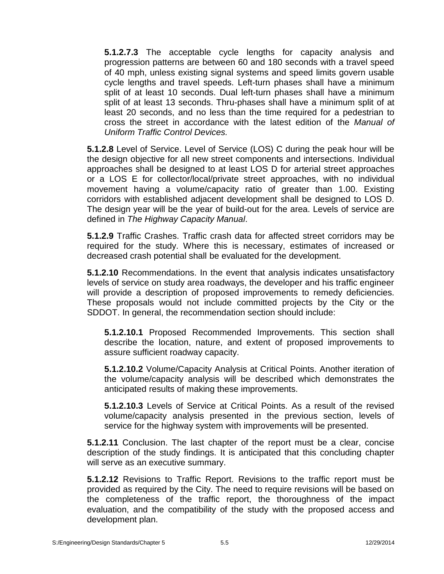**5.1.2.7.3** The acceptable cycle lengths for capacity analysis and progression patterns are between 60 and 180 seconds with a travel speed of 40 mph, unless existing signal systems and speed limits govern usable cycle lengths and travel speeds. Left-turn phases shall have a minimum split of at least 10 seconds. Dual left-turn phases shall have a minimum split of at least 13 seconds. Thru-phases shall have a minimum split of at least 20 seconds, and no less than the time required for a pedestrian to cross the street in accordance with the latest edition of the *Manual of Uniform Traffic Control Devices.*

**5.1.2.8** Level of Service. Level of Service (LOS) C during the peak hour will be the design objective for all new street components and intersections. Individual approaches shall be designed to at least LOS D for arterial street approaches or a LOS E for collector/local/private street approaches, with no individual movement having a volume/capacity ratio of greater than 1.00. Existing corridors with established adjacent development shall be designed to LOS D. The design year will be the year of build-out for the area. Levels of service are defined in *The Highway Capacity Manual*.

**5.1.2.9** Traffic Crashes. Traffic crash data for affected street corridors may be required for the study. Where this is necessary, estimates of increased or decreased crash potential shall be evaluated for the development.

**5.1.2.10** Recommendations. In the event that analysis indicates unsatisfactory levels of service on study area roadways, the developer and his traffic engineer will provide a description of proposed improvements to remedy deficiencies. These proposals would not include committed projects by the City or the SDDOT. In general, the recommendation section should include:

**5.1.2.10.1** Proposed Recommended Improvements. This section shall describe the location, nature, and extent of proposed improvements to assure sufficient roadway capacity.

**5.1.2.10.2** Volume/Capacity Analysis at Critical Points. Another iteration of the volume/capacity analysis will be described which demonstrates the anticipated results of making these improvements.

**5.1.2.10.3** Levels of Service at Critical Points. As a result of the revised volume/capacity analysis presented in the previous section, levels of service for the highway system with improvements will be presented.

**5.1.2.11** Conclusion. The last chapter of the report must be a clear, concise description of the study findings. It is anticipated that this concluding chapter will serve as an executive summary.

**5.1.2.12** Revisions to Traffic Report. Revisions to the traffic report must be provided as required by the City. The need to require revisions will be based on the completeness of the traffic report, the thoroughness of the impact evaluation, and the compatibility of the study with the proposed access and development plan.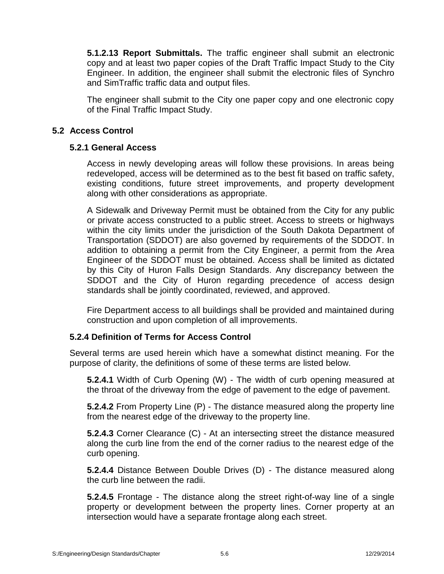**5.1.2.13 Report Submittals.** The traffic engineer shall submit an electronic copy and at least two paper copies of the Draft Traffic Impact Study to the City Engineer. In addition, the engineer shall submit the electronic files of Synchro and SimTraffic traffic data and output files.

The engineer shall submit to the City one paper copy and one electronic copy of the Final Traffic Impact Study.

#### **5.2 Access Control**

#### **5.2.1 General Access**

Access in newly developing areas will follow these provisions. In areas being redeveloped, access will be determined as to the best fit based on traffic safety, existing conditions, future street improvements, and property development along with other considerations as appropriate.

A Sidewalk and Driveway Permit must be obtained from the City for any public or private access constructed to a public street. Access to streets or highways within the city limits under the jurisdiction of the South Dakota Department of Transportation (SDDOT) are also governed by requirements of the SDDOT. In addition to obtaining a permit from the City Engineer, a permit from the Area Engineer of the SDDOT must be obtained. Access shall be limited as dictated by this City of Huron Falls Design Standards. Any discrepancy between the SDDOT and the City of Huron regarding precedence of access design standards shall be jointly coordinated, reviewed, and approved.

Fire Department access to all buildings shall be provided and maintained during construction and upon completion of all improvements.

### **5.2.4 Definition of Terms for Access Control**

Several terms are used herein which have a somewhat distinct meaning. For the purpose of clarity, the definitions of some of these terms are listed below.

**5.2.4.1** Width of Curb Opening (W) - The width of curb opening measured at the throat of the driveway from the edge of pavement to the edge of pavement.

**5.2.4.2** From Property Line (P) - The distance measured along the property line from the nearest edge of the driveway to the property line.

**5.2.4.3** Corner Clearance (C) - At an intersecting street the distance measured along the curb line from the end of the corner radius to the nearest edge of the curb opening.

**5.2.4.4** Distance Between Double Drives (D) - The distance measured along the curb line between the radii.

**5.2.4.5** Frontage - The distance along the street right-of-way line of a single property or development between the property lines. Corner property at an intersection would have a separate frontage along each street.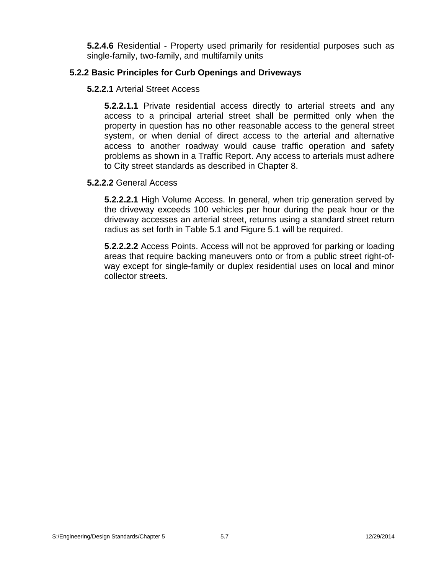**5.2.4.6** Residential - Property used primarily for residential purposes such as single-family, two-family, and multifamily units

### **5.2.2 Basic Principles for Curb Openings and Driveways**

## **5.2.2.1** Arterial Street Access

**5.2.2.1.1** Private residential access directly to arterial streets and any access to a principal arterial street shall be permitted only when the property in question has no other reasonable access to the general street system, or when denial of direct access to the arterial and alternative access to another roadway would cause traffic operation and safety problems as shown in a Traffic Report. Any access to arterials must adhere to City street standards as described in Chapter 8.

#### **5.2.2.2** General Access

**5.2.2.2.1** High Volume Access. In general, when trip generation served by the driveway exceeds 100 vehicles per hour during the peak hour or the driveway accesses an arterial street, returns using a standard street return radius as set forth in Table 5.1 and Figure 5.1 will be required.

**5.2.2.2.2** Access Points. Access will not be approved for parking or loading areas that require backing maneuvers onto or from a public street right-of way except for single-family or duplex residential uses on local and minor collector streets.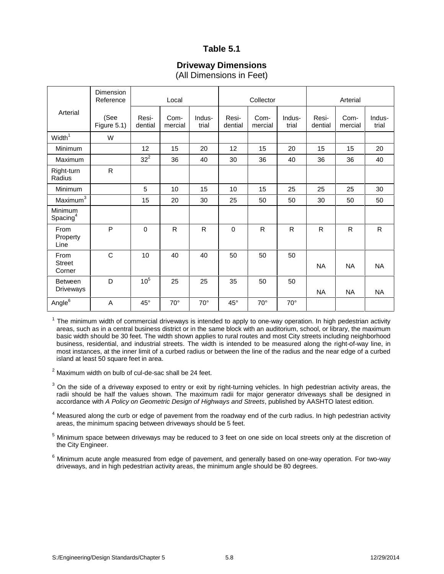### **Table 5.1**

#### **Driveway Dimensions** (All Dimensions in Feet)

|                                    | <b>Dimension</b><br>Reference |                  | Local           |                 |                  | Collector       |                 | Arterial         |                 |                 |
|------------------------------------|-------------------------------|------------------|-----------------|-----------------|------------------|-----------------|-----------------|------------------|-----------------|-----------------|
| Arterial                           | (See<br>Figure 5.1)           | Resi-<br>dential | Com-<br>mercial | Indus-<br>trial | Resi-<br>dential | Com-<br>mercial | Indus-<br>trial | Resi-<br>dential | Com-<br>mercial | Indus-<br>trial |
| Width <sup>1</sup>                 | W                             |                  |                 |                 |                  |                 |                 |                  |                 |                 |
| Minimum                            |                               | 12               | 15              | 20              | 12               | 15              | 20              | 15               | 15              | 20              |
| Maximum                            |                               | $32^2$           | 36              | 40              | 30               | 36              | 40              | 36               | 36              | 40              |
| Right-turn<br>Radius               | $\mathsf{R}$                  |                  |                 |                 |                  |                 |                 |                  |                 |                 |
| Minimum                            |                               | 5                | 10              | 15              | 10               | 15              | 25              | 25               | 25              | 30              |
| Maximum <sup>3</sup>               |                               | 15               | 20              | 30              | 25               | 50              | 50              | 30               | 50              | 50              |
| Minimum<br>$S$ pacing <sup>4</sup> |                               |                  |                 |                 |                  |                 |                 |                  |                 |                 |
| From<br>Property<br>Line           | P                             | $\mathbf 0$      | $\mathsf{R}$    | $\mathsf{R}$    | $\mathbf 0$      | $\mathsf{R}$    | R               | $\mathsf{R}$     | $\mathsf{R}$    | $\mathsf{R}$    |
| From<br><b>Street</b><br>Corner    | $\mathsf{C}$                  | 10               | 40              | 40              | 50               | 50              | 50              | <b>NA</b>        | <b>NA</b>       | <b>NA</b>       |
| <b>Between</b><br><b>Driveways</b> | D                             | 10 <sup>5</sup>  | 25              | 25              | 35               | 50              | 50              | <b>NA</b>        | <b>NA</b>       | <b>NA</b>       |
| Angle <sup>6</sup>                 | A                             | $45^{\circ}$     | $70^{\circ}$    | $70^{\circ}$    | $45^{\circ}$     | $70^{\circ}$    | $70^{\circ}$    |                  |                 |                 |

 $1$  The minimum width of commercial driveways is intended to apply to one-way operation. In high pedestrian activity areas, such as in a central business district or in the same block with an auditorium, school, or library, the maximum basic width should be 30 feet. The width shown applies to rural routes and most City streets including neighborhood business, residential, and industrial streets. The width is intended to be measured along the right-of-way line, in most instances, at the inner limit of a curbed radius or between the line of the radius and the near edge of a curbed island at least 50 square feet in area.

 $2$  Maximum width on bulb of cul-de-sac shall be 24 feet.

 $3$  On the side of a driveway exposed to entry or exit by right-turning vehicles. In high pedestrian activity areas, the radii should be half the values shown. The maximum radii for major generator driveways shall be designed in accordance with *A Policy on Geometric Design of Highways and Streets*, published by AASHTO latest edition.

<sup>4</sup> Measured along the curb or edge of pavement from the roadway end of the curb radius. In high pedestrian activity areas, the minimum spacing between driveways should be 5 feet.

<sup>5</sup> Minimum space between driveways may be reduced to 3 feet on one side on local streets only at the discretion of the City Engineer.

 $6$  Minimum acute angle measured from edge of pavement, and generally based on one-way operation. For two-way driveways, and in high pedestrian activity areas, the minimum angle should be 80 degrees.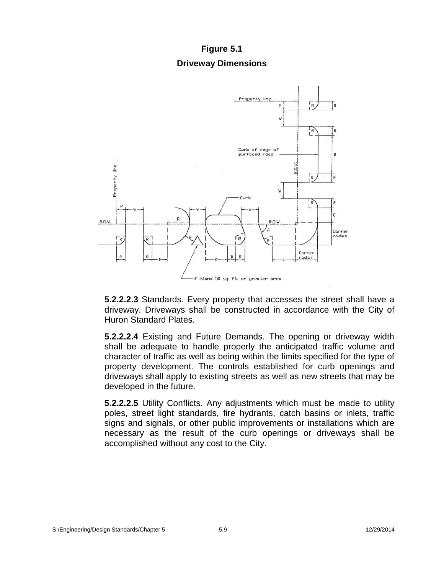## **Figure 5.1 Driveway Dimensions**



**5.2.2.2.3** Standards. Every property that accesses the street shall have a driveway. Driveways shall be constructed in accordance with the City of Huron Standard Plates.

**5.2.2.2.4** Existing and Future Demands. The opening or driveway width shall be adequate to handle properly the anticipated traffic volume and character of traffic as well as being within the limits specified for the type of property development. The controls established for curb openings and driveways shall apply to existing streets as well as new streets that may be developed in the future.

**5.2.2.2.5** Utility Conflicts. Any adjustments which must be made to utility poles, street light standards, fire hydrants, catch basins or inlets, traffic signs and signals, or other public improvements or installations which are necessary as the result of the curb openings or driveways shall be accomplished without any cost to the City.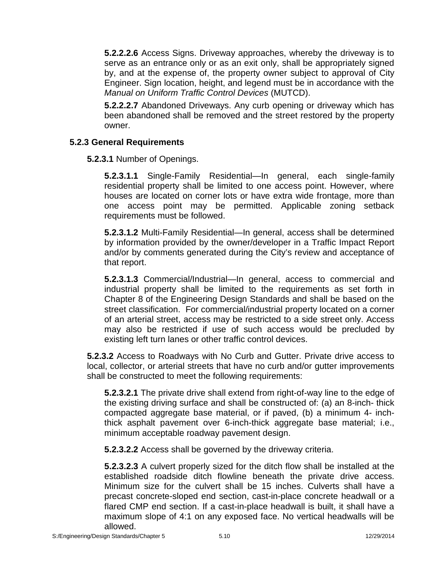**5.2.2.2.6** Access Signs. Driveway approaches, whereby the driveway is to serve as an entrance only or as an exit only, shall be appropriately signed by, and at the expense of, the property owner subject to approval of City Engineer. Sign location, height, and legend must be in accordance with the *Manual on Uniform Traffic Control Devices* (MUTCD).

**5.2.2.2.7** Abandoned Driveways. Any curb opening or driveway which has been abandoned shall be removed and the street restored by the property owner.

### **5.2.3 General Requirements**

**5.2.3.1** Number of Openings.

**5.2.3.1.1** Single-Family Residential—In general, each single-family residential property shall be limited to one access point. However, where houses are located on corner lots or have extra wide frontage, more than one access point may be permitted. Applicable zoning setback requirements must be followed.

**5.2.3.1.2** Multi-Family Residential—In general, access shall be determined by information provided by the owner/developer in a Traffic Impact Report and/or by comments generated during the City's review and acceptance of that report.

**5.2.3.1.3** Commercial/Industrial—In general, access to commercial and industrial property shall be limited to the requirements as set forth in Chapter 8 of the Engineering Design Standards and shall be based on the street classification. For commercial/industrial property located on a corner of an arterial street, access may be restricted to a side street only. Access may also be restricted if use of such access would be precluded by existing left turn lanes or other traffic control devices.

**5.2.3.2** Access to Roadways with No Curb and Gutter. Private drive access to local, collector, or arterial streets that have no curb and/or gutter improvements shall be constructed to meet the following requirements:

**5.2.3.2.1** The private drive shall extend from right-of-way line to the edge of the existing driving surface and shall be constructed of: (a) an 8-inch- thick compacted aggregate base material, or if paved, (b) a minimum 4- inchthick asphalt pavement over 6-inch-thick aggregate base material; i.e., minimum acceptable roadway pavement design.

**5.2.3.2.2** Access shall be governed by the driveway criteria.

**5.2.3.2.3** A culvert properly sized for the ditch flow shall be installed at the established roadside ditch flowline beneath the private drive access. Minimum size for the culvert shall be 15 inches. Culverts shall have a precast concrete-sloped end section, cast-in-place concrete headwall or a flared CMP end section. If a cast-in-place headwall is built, it shall have a maximum slope of 4:1 on any exposed face. No vertical headwalls will be allowed.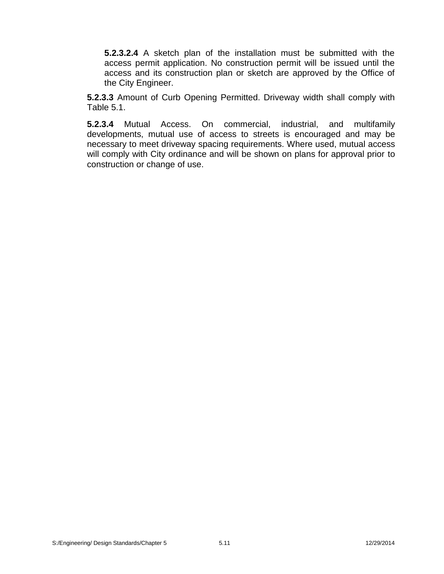**5.2.3.2.4** A sketch plan of the installation must be submitted with the access permit application. No construction permit will be issued until the access and its construction plan or sketch are approved by the Office of the City Engineer.

**5.2.3.3** Amount of Curb Opening Permitted. Driveway width shall comply with Table 5.1.

**5.2.3.4** Mutual Access. On commercial, industrial, and multifamily developments, mutual use of access to streets is encouraged and may be necessary to meet driveway spacing requirements. Where used, mutual access will comply with City ordinance and will be shown on plans for approval prior to construction or change of use.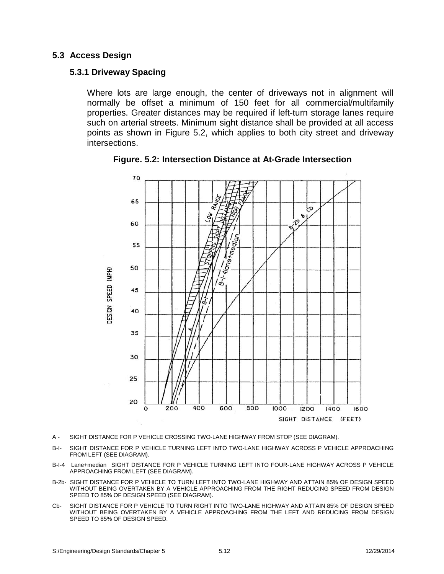#### **5.3 Access Design**

#### **5.3.1 Driveway Spacing**

Where lots are large enough, the center of driveways not in alignment will normally be offset a minimum of 150 feet for all commercial/multifamily properties. Greater distances may be required if left-turn storage lanes require such on arterial streets. Minimum sight distance shall be provided at all access points as shown in Figure 5.2, which applies to both city street and driveway intersections.



**Figure. 5.2: Intersection Distance at At-Grade Intersection**

- A SIGHT DISTANCE FOR P VEHICLE CROSSING TWO-LANE HIGHWAY FROM STOP (SEE DIAGRAM).
- B-I- SIGHT DISTANCE FOR P VEHICLE TURNING LEFT INTO TWO-LANE HIGHWAY ACROSS P VEHICLE APPROACHING FROM LEFT (SEE DIAGRAM).
- B-I-4 Lane+median SIGHT DISTANCE FOR P VEHICLE TURNING LEFT INTO FOUR-LANE HIGHWAY ACROSS P VEHICLE APPROACHING FROM LEFT (SEE DIAGRAM).
- B-2b- SIGHT DISTANCE FOR P VEHICLE TO TURN LEFT INTO TWO-LANE HIGHWAY AND ATTAIN 85% OF DESIGN SPEED WITHOUT BEING OVERTAKEN BY A VEHICLE APPROACHING FROM THE RIGHT REDUCING SPEED FROM DESIGN SPEED TO 85% OF DESIGN SPEED (SEE DIAGRAM).
- Cb- SIGHT DISTANCE FOR P VEHICLE TO TURN RIGHT INTO TWO-LANE HIGHWAY AND ATTAIN 85% OF DESIGN SPEED WITHOUT BEING OVERTAKEN BY A VEHICLE APPROACHING FROM THE LEFT AND REDUCING FROM DESIGN SPEED TO 85% OF DESIGN SPEED.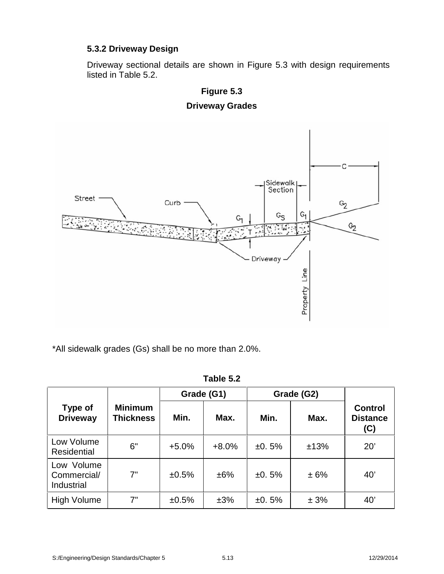## **5.3.2 Driveway Design**

Driveway sectional details are shown in Figure 5.3 with design requirements listed in Table 5.2.



**Figure 5.3 Driveway Grades**

\*All sidewalk grades (Gs) shall be no more than 2.0%.

|                                         |                                    |         | Grade (G1) | Grade (G2) |      |                                          |  |
|-----------------------------------------|------------------------------------|---------|------------|------------|------|------------------------------------------|--|
| Type of<br><b>Driveway</b>              | <b>Minimum</b><br><b>Thickness</b> | Min.    | Max.       | Min.       | Max. | <b>Control</b><br><b>Distance</b><br>(C) |  |
| Low Volume<br><b>Residential</b>        | 6"                                 | $+5.0%$ | $+8.0%$    | ±0.5%      | ±13% | 20'                                      |  |
| Low Volume<br>Commercial/<br>Industrial | 7"                                 | ±0.5%   | ±6%        | ±0.5%      | ± 6% | 40'                                      |  |
| <b>High Volume</b>                      | 7"                                 | ±0.5%   | ±3%        | ±0.5%      | ± 3% | 40'                                      |  |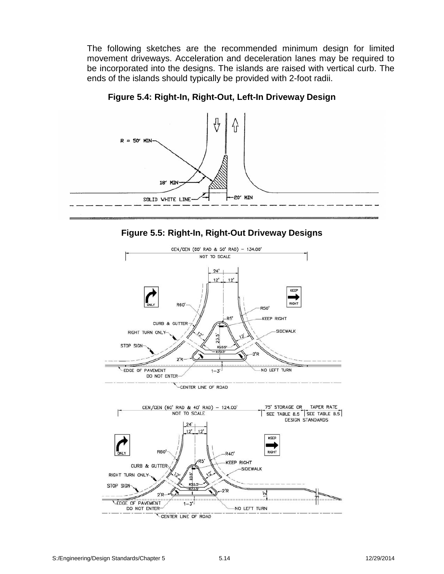The following sketches are the recommended minimum design for limited movement driveways. Acceleration and deceleration lanes may be required to be incorporated into the designs. The islands are raised with vertical curb. The ends of the islands should typically be provided with 2-foot radii.



**Figure 5.4: Right-In, Right-Out, Left-In Driveway Design**



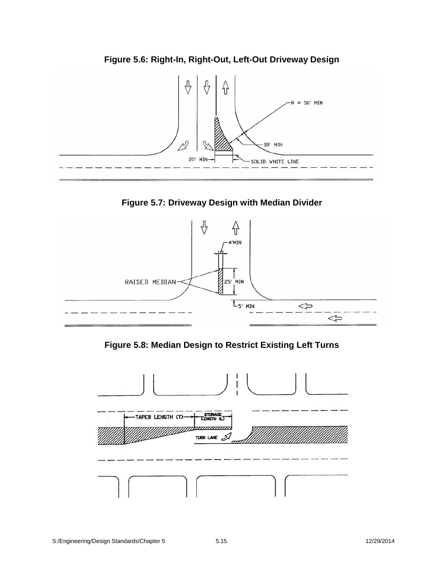

**Figure 5.6: Right-In, Right-Out, Left-Out Driveway Design**

**Figure 5.7: Driveway Design with Median Divider**



**Figure 5.8: Median Design to Restrict Existing Left Turns**

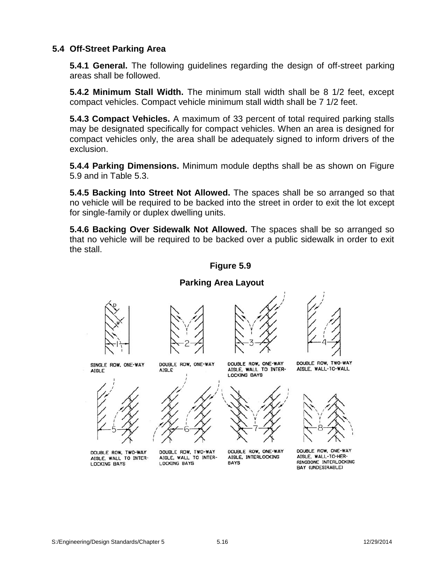#### **5.4 Off-Street Parking Area**

**5.4.1 General.** The following guidelines regarding the design of off-street parking areas shall be followed.

**5.4.2 Minimum Stall Width.** The minimum stall width shall be 8 1/2 feet, except compact vehicles. Compact vehicle minimum stall width shall be 7 1/2 feet.

**5.4.3 Compact Vehicles.** A maximum of 33 percent of total required parking stalls may be designated specifically for compact vehicles. When an area is designed for compact vehicles only, the area shall be adequately signed to inform drivers of the exclusion.

**5.4.4 Parking Dimensions.** Minimum module depths shall be as shown on Figure 5.9 and in Table 5.3.

**5.4.5 Backing Into Street Not Allowed.** The spaces shall be so arranged so that no vehicle will be required to be backed into the street in order to exit the lot except for single-family or duplex dwelling units.

**5.4.6 Backing Over Sidewalk Not Allowed.** The spaces shall be so arranged so that no vehicle will be required to be backed over a public sidewalk in order to exit the stall.